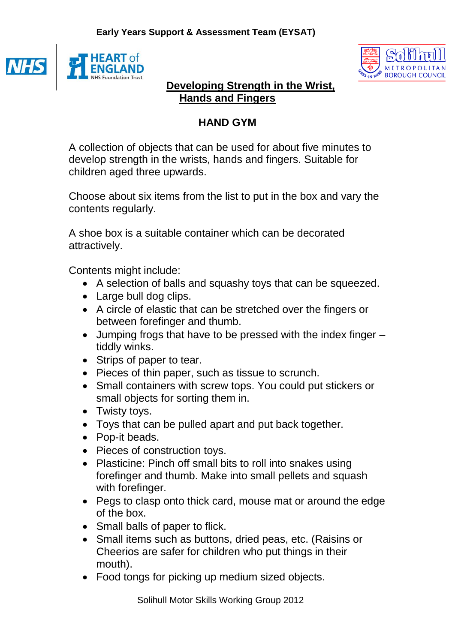



## **Developing Strength in the Wrist, Hands and Fingers**

## **HAND GYM**

A collection of objects that can be used for about five minutes to develop strength in the wrists, hands and fingers. Suitable for children aged three upwards.

Choose about six items from the list to put in the box and vary the contents regularly.

A shoe box is a suitable container which can be decorated attractively.

Contents might include:

- A selection of balls and squashy toys that can be squeezed.
- Large bull dog clips.
- A circle of elastic that can be stretched over the fingers or between forefinger and thumb.
- Jumping frogs that have to be pressed with the index finger tiddly winks.
- Strips of paper to tear.
- Pieces of thin paper, such as tissue to scrunch.
- Small containers with screw tops. You could put stickers or small objects for sorting them in.
- Twisty toys.
- Toys that can be pulled apart and put back together.
- Pop-it beads.
- Pieces of construction toys.
- Plasticine: Pinch off small bits to roll into snakes using forefinger and thumb. Make into small pellets and squash with forefinger.
- Pegs to clasp onto thick card, mouse mat or around the edge of the box.
- Small balls of paper to flick.
- Small items such as buttons, dried peas, etc. (Raisins or Cheerios are safer for children who put things in their mouth).
- Food tongs for picking up medium sized objects.